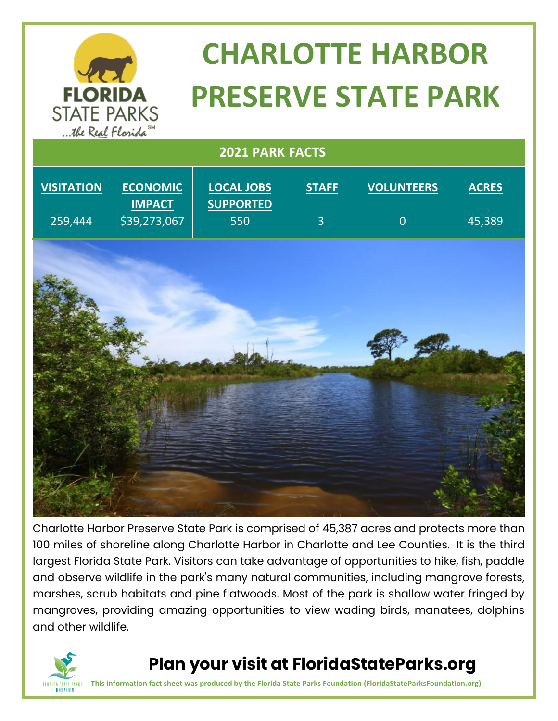

# **CHARLOTTE HARBOR PRESERVE STATE PARK**

| was Near I conna             |                                                  |                                              |                                |                                     |                        |
|------------------------------|--------------------------------------------------|----------------------------------------------|--------------------------------|-------------------------------------|------------------------|
| 2021 PARK FACTS              |                                                  |                                              |                                |                                     |                        |
| <b>VISITATION</b><br>259,444 | <b>ECONOMIC</b><br><b>IMPACT</b><br>\$39,273,067 | <b>LOCAL JOBS</b><br><b>SUPPORTED</b><br>550 | <b>STAFF</b><br>$\overline{3}$ | <b>VOLUNTEERS</b><br>$\overline{0}$ | <b>ACRES</b><br>45,389 |
|                              |                                                  |                                              |                                |                                     |                        |
|                              |                                                  |                                              |                                |                                     |                        |

Charlotte Harbor Preserve State Park is comprised of 45,387 acres and protects more than 100 miles of shoreline along Charlotte Harbor in Charlotte and Lee Counties. It is the third largest Florida State Park. Visitors can take advantage of opportunities to hike, fish, paddle and observe wildlife in the park's many natural communities, including mangrove forests, marshes, scrub habitats and pine flatwoods. Most of the park is shallow water fringed by mangroves, providing amazing opportunities to view wading birds, manatees, dolphins and other wildlife.



#### **Plan your visit at FloridaStateParks.org**

**This information fact sheet was produced by the Florida State Parks Foundation (FloridaStateParksFoundation.org)**